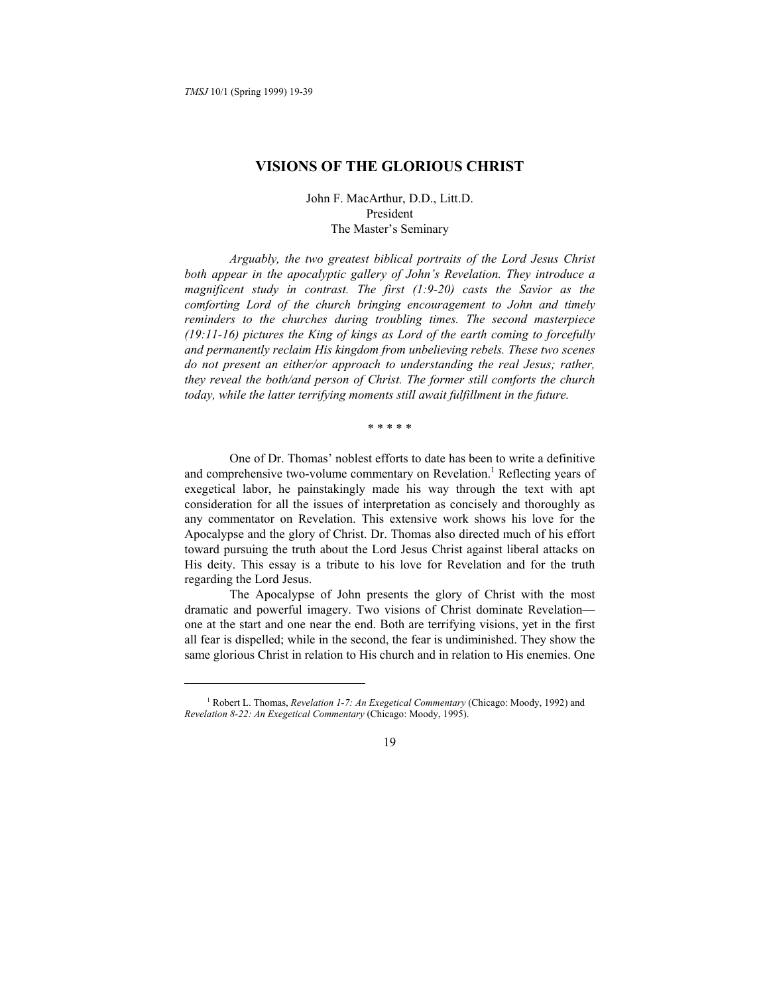-

# **VISIONS OF THE GLORIOUS CHRIST**

John F. MacArthur, D.D., Litt.D. President The Master's Seminary

*Arguably, the two greatest biblical portraits of the Lord Jesus Christ both appear in the apocalyptic gallery of John's Revelation. They introduce a magnificent study in contrast. The first (1:9-20) casts the Savior as the comforting Lord of the church bringing encouragement to John and timely reminders to the churches during troubling times. The second masterpiece (19:11-16) pictures the King of kings as Lord of the earth coming to forcefully and permanently reclaim His kingdom from unbelieving rebels. These two scenes do not present an either/or approach to understanding the real Jesus; rather, they reveal the both/and person of Christ. The former still comforts the church today, while the latter terrifying moments still await fulfillment in the future.* 

\* \* \* \* \*

One of Dr. Thomas' noblest efforts to date has been to write a definitive and comprehensive two-volume commentary on [Re](#page-0-0)velation.<sup>1</sup> Reflecting years of exegetical labor, he painstakingly made his way through the text with apt consideration for all the issues of interpretation as concisely and thoroughly as any commentator on Revelation. This extensive work shows his love for the Apocalypse and the glory of Christ. Dr. Thomas also directed much of his effort toward pursuing the truth about the Lord Jesus Christ against liberal attacks on His deity. This essay is a tribute to his love for Revelation and for the truth regarding the Lord Jesus.

The Apocalypse of John presents the glory of Christ with the most dramatic and powerful imagery. Two visions of Christ dominate Revelation one at the start and one near the end. Both are terrifying visions, yet in the first all fear is dispelled; while in the second, the fear is undiminished. They show the same glorious Christ in relation to His church and in relation to His enemies. One

<span id="page-0-0"></span><sup>&</sup>lt;sup>1</sup> Robert L. Thomas, *Revelation 1-7: An Exegetical Commentary* (Chicago: Moody, 1992) and *Revelation 8-22: An Exegetical Commentary* (Chicago: Moody, 1995).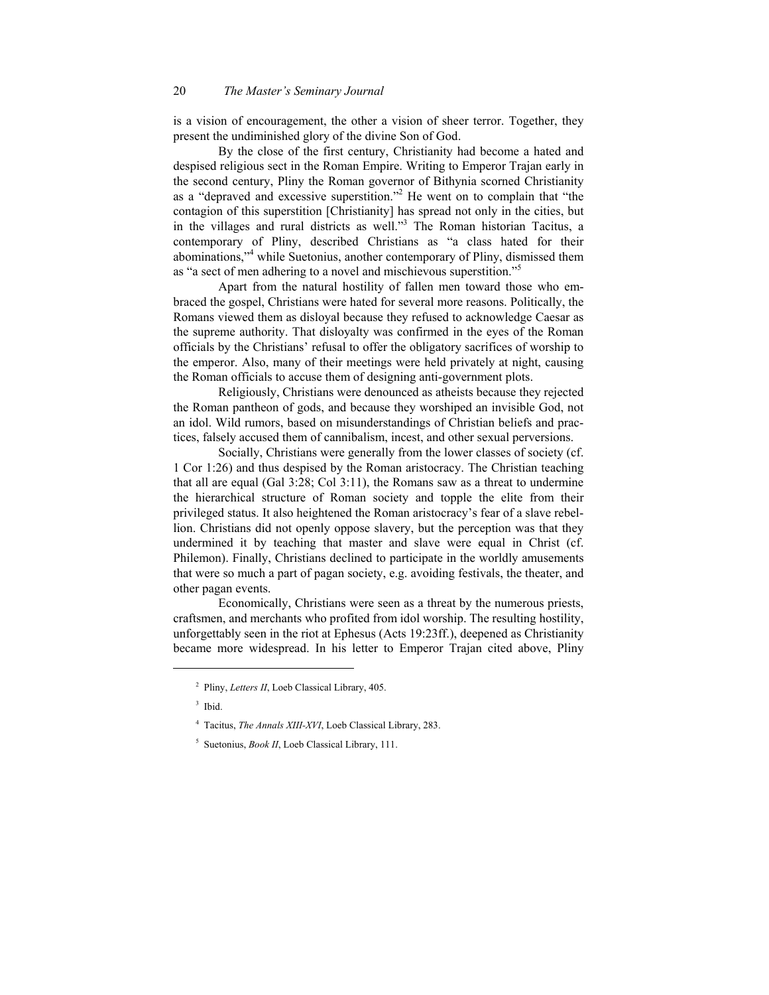is a vision of encouragement, the other a vision of sheer terror. Together, they present the undiminished glory of the divine Son of God.

By the close of the first century, Christianity had become a hated and despised religious sect in the Roman Empire. Writing to Emperor Trajan early in the second century, Pliny the Roman governor of Bithynia scorned Christianity as a "depraved and excessive superstition."2 [H](#page-1-0)e went on to complain that "the contagion of this superstition [Christianity] has spread not only in the cities, but in the villages and rural districts as well."3 [T](#page-1-1)he Roman historian Tacitus, a contemporary of Pliny, described Christians as "a class hated for their abominations,"<sup>4</sup> [w](#page-1-2)hile Suetonius, another contemporary of Pliny, dismissed them as "a sect of men adhering to a novel and mischievous superstition."5

Apart from the natural hostility of fallen men toward those who embraced the gospel, Christians were hated for several more reasons. Politically, the Romans viewed them as disloyal because they refused to acknowledge Caesar as the supreme authority. That disloyalty was confirmed in the eyes of the Roman officials by the Christians' refusal to offer the obligatory sacrifices of worship to the emperor. Also, many of their meetings were held privately at night, causing the Roman officials to accuse them of designing anti-government plots.

Religiously, Christians were denounced as atheists because they rejected the Roman pantheon of gods, and because they worshiped an invisible God, not an idol. Wild rumors, based on misunderstandings of Christian beliefs and practices, falsely accused them of cannibalism, incest, and other sexual perversions.

Socially, Christians were generally from the lower classes of society (cf. 1 Cor 1:26) and thus despised by the Roman aristocracy. The Christian teaching that all are equal (Gal 3:28; Col 3:11), the Romans saw as a threat to undermine the hierarchical structure of Roman society and topple the elite from their privileged status. It also heightened the Roman aristocracy's fear of a slave rebellion. Christians did not openly oppose slavery, but the perception was that they undermined it by teaching that master and slave were equal in Christ (cf. Philemon). Finally, Christians declined to participate in the worldly amusements that were so much a part of pagan society, e.g. avoiding festivals, the theater, and other pagan events.

Economically, Christians were seen as a threat by the numerous priests, craftsmen, and merchants who profited from idol worship. The resulting hostility, unforgettably seen in the riot at Ephesus (Acts 19:23ff.), deepened as Christianity became more widespread. In his letter to Emperor Trajan cited above, Pliny

<sup>2</sup> Pliny, *Letters II*, Loeb Classical Library, 405.

<sup>3</sup> Ibid.

<sup>4</sup> Tacitus, *The Annals XIII-XVI*, Loeb Classical Library, 283.

<span id="page-1-2"></span><span id="page-1-1"></span><span id="page-1-0"></span><sup>5</sup> Suetonius, *Book II*, Loeb Classical Library, 111.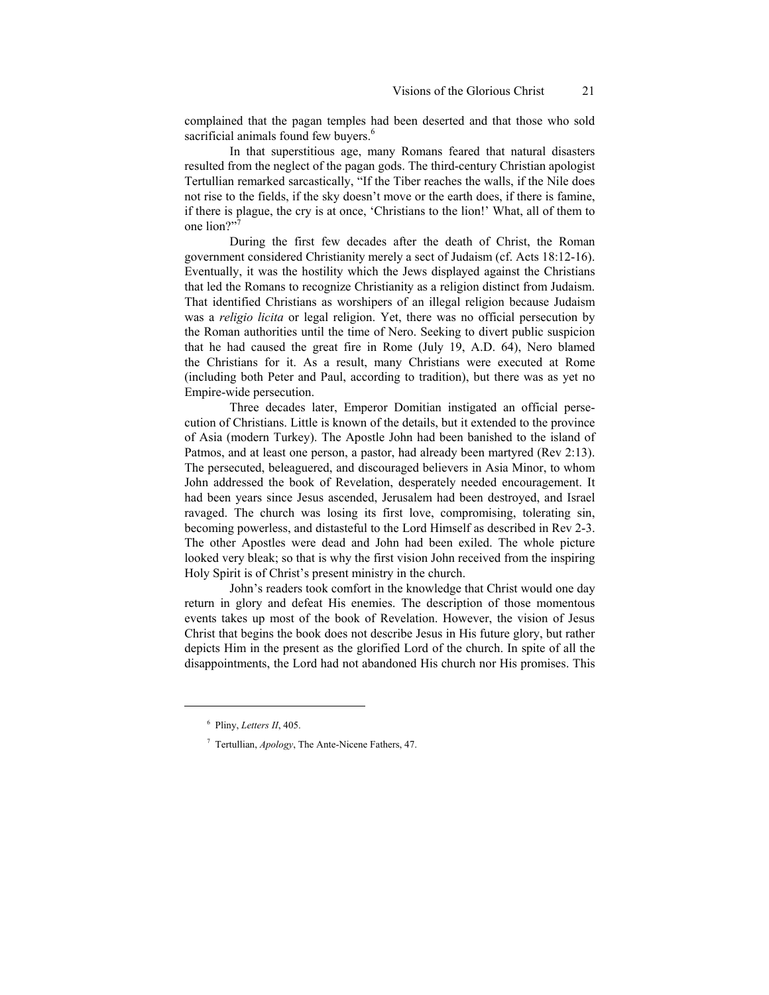complained that the pagan temples had been deserted and that those who sold sacrificial animals found few buyers.<sup>6</sup>

In that superstitious age, many Romans feared that natural disasters resulted from the neglect of the pagan gods. The third-century Christian apologist Tertullian remarked sarcastically, "If the Tiber reaches the walls, if the Nile does not rise to the fields, if the sky doesn't move or the earth does, if there is famine, if there is plague, the cry is at once, 'Christians to the lion!' What, all of them to one lion?"

During the first few decades after the death of Christ, the Roman government considered Christianity merely a sect of Judaism (cf. Acts 18:12-16). Eventually, it was the hostility which the Jews displayed against the Christians that led the Romans to recognize Christianity as a religion distinct from Judaism. That identified Christians as worshipers of an illegal religion because Judaism was a *religio licita* or legal religion. Yet, there was no official persecution by the Roman authorities until the time of Nero. Seeking to divert public suspicion that he had caused the great fire in Rome (July 19, A.D. 64), Nero blamed the Christians for it. As a result, many Christians were executed at Rome (including both Peter and Paul, according to tradition), but there was as yet no Empire-wide persecution.

Three decades later, Emperor Domitian instigated an official persecution of Christians. Little is known of the details, but it extended to the province of Asia (modern Turkey). The Apostle John had been banished to the island of Patmos, and at least one person, a pastor, had already been martyred (Rev 2:13). The persecuted, beleaguered, and discouraged believers in Asia Minor, to whom John addressed the book of Revelation, desperately needed encouragement. It had been years since Jesus ascended, Jerusalem had been destroyed, and Israel ravaged. The church was losing its first love, compromising, tolerating sin, becoming powerless, and distasteful to the Lord Himself as described in Rev 2-3. The other Apostles were dead and John had been exiled. The whole picture looked very bleak; so that is why the first vision John received from the inspiring Holy Spirit is of Christ's present ministry in the church.

John's readers took comfort in the knowledge that Christ would one day return in glory and defeat His enemies. The description of those momentous events takes up most of the book of Revelation. However, the vision of Jesus Christ that begins the book does not describe Jesus in His future glory, but rather depicts Him in the present as the glorified Lord of the church. In spite of all the disappointments, the Lord had not abandoned His church nor His promises. This

<sup>6</sup> Pliny, *Letters II*, 405.

<sup>7</sup> Tertullian, *Apology*, The Ante-Nicene Fathers, 47.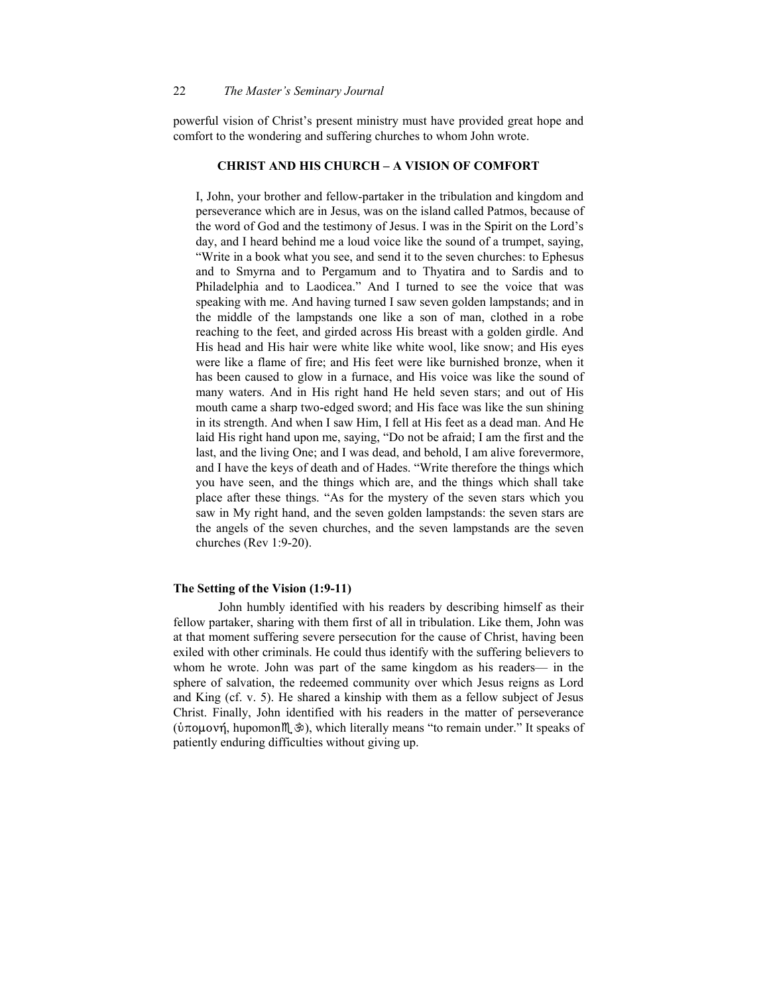powerful vision of Christ's present ministry must have provided great hope and comfort to the wondering and suffering churches to whom John wrote.

### **CHRIST AND HIS CHURCH – A VISION OF COMFORT**

I, John, your brother and fellow-partaker in the tribulation and kingdom and perseverance which are in Jesus, was on the island called Patmos, because of the word of God and the testimony of Jesus. I was in the Spirit on the Lord's day, and I heard behind me a loud voice like the sound of a trumpet, saying, "Write in a book what you see, and send it to the seven churches: to Ephesus and to Smyrna and to Pergamum and to Thyatira and to Sardis and to Philadelphia and to Laodicea." And I turned to see the voice that was speaking with me. And having turned I saw seven golden lampstands; and in the middle of the lampstands one like a son of man, clothed in a robe reaching to the feet, and girded across His breast with a golden girdle. And His head and His hair were white like white wool, like snow; and His eyes were like a flame of fire; and His feet were like burnished bronze, when it has been caused to glow in a furnace, and His voice was like the sound of many waters. And in His right hand He held seven stars; and out of His mouth came a sharp two-edged sword; and His face was like the sun shining in its strength. And when I saw Him, I fell at His feet as a dead man. And He laid His right hand upon me, saying, "Do not be afraid; I am the first and the last, and the living One; and I was dead, and behold, I am alive forevermore, and I have the keys of death and of Hades. "Write therefore the things which you have seen, and the things which are, and the things which shall take place after these things. "As for the mystery of the seven stars which you saw in My right hand, and the seven golden lampstands: the seven stars are the angels of the seven churches, and the seven lampstands are the seven churches (Rev 1:9-20).

# **The Setting of the Vision (1:9-11)**

John humbly identified with his readers by describing himself as their fellow partaker, sharing with them first of all in tribulation. Like them, John was at that moment suffering severe persecution for the cause of Christ, having been exiled with other criminals. He could thus identify with the suffering believers to whom he wrote. John was part of the same kingdom as his readers— in the sphere of salvation, the redeemed community over which Jesus reigns as Lord and King (cf. v. 5). He shared a kinship with them as a fellow subject of Jesus Christ. Finally, John identified with his readers in the matter of perseverance (ύπομονή, hupomon $M_{\infty}^*$ ), which literally means "to remain under." It speaks of patiently enduring difficulties without giving up.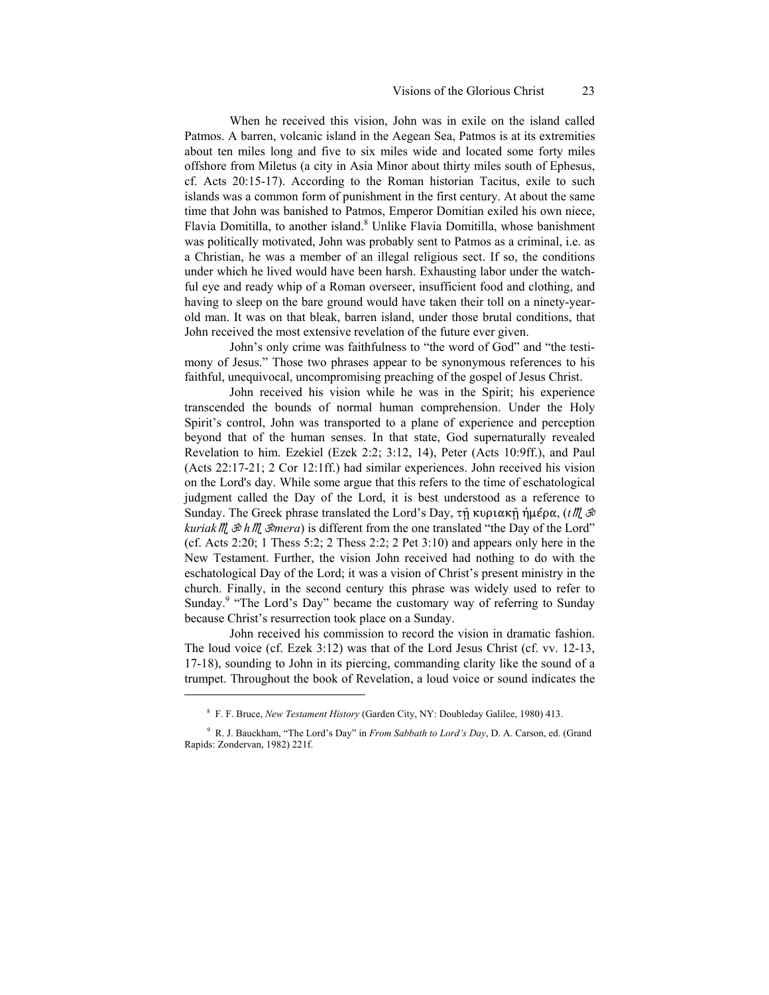When he received this vision, John was in exile on the island called Patmos. A barren, volcanic island in the Aegean Sea, Patmos is at its extremities about ten miles long and five to six miles wide and located some forty miles offshore from Miletus (a city in Asia Minor about thirty miles south of Ephesus, cf. Acts 20:15-17). According to the Roman historian Tacitus, exile to such islands was a common form of punishment in the first century. At about the same time that John was banished to Patmos, Emperor Domitian exiled his own niece, Flavia Domitilla, to another island.<sup>8</sup> [U](#page-4-0)nlike Flavia Domitilla, whose banishment was politically motivated, John was probably sent to Patmos as a criminal, i.e. as a Christian, he was a member of an illegal religious sect. If so, the conditions under which he lived would have been harsh. Exhausting labor under the watchful eye and ready whip of a Roman overseer, insufficient food and clothing, and having to sleep on the bare ground would have taken their toll on a ninety-yearold man. It was on that bleak, barren island, under those brutal conditions, that John received the most extensive revelation of the future ever given.

John's only crime was faithfulness to "the word of God" and "the testimony of Jesus." Those two phrases appear to be synonymous references to his faithful, unequivocal, uncompromising preaching of the gospel of Jesus Christ.

John received his vision while he was in the Spirit; his experience transcended the bounds of normal human comprehension. Under the Holy Spirit's control, John was transported to a plane of experience and perception beyond that of the human senses. In that state, God supernaturally revealed Revelation to him. Ezekiel (Ezek 2:2; 3:12, 14), Peter (Acts 10:9ff.), and Paul (Acts 22:17-21; 2 Cor 12:1ff.) had similar experiences. John received his vision on the Lord's day. While some argue that this refers to the time of eschatological judgment called the Day of the Lord, it is best understood as a reference to Sunday. The Greek phrase translated the Lord's Day, τη κυριακή ήμέρα, (*t*),  $\ddot{\mathcal{D}}$ *kuriak*  $M\rightarrow \infty$  *h* $M\rightarrow \infty$  *is different from the one translated* "the Day of the Lord" (cf. Acts 2:20; 1 Thess 5:2; 2 Thess 2:2; 2 Pet 3:10) and appears only here in the New Testament. Further, the vision John received had nothing to do with the eschatological Day of the Lord; it was a vision of Christ's present ministry in the church. Finally, in the second century this phrase was widely used to refer to Sunday.<sup>9</sup> ["T](#page-4-1)he Lord's Day" became the customary way of referring to Sunday because Christ's resurrection took place on a Sunday.

John received his commission to record the vision in dramatic fashion. The loud voice (cf. Ezek 3:12) was that of the Lord Jesus Christ (cf. vv. 12-13, 17-18), sounding to John in its piercing, commanding clarity like the sound of a trumpet. Throughout the book of Revelation, a loud voice or sound indicates the

<sup>8</sup> F. F. Bruce, *New Testament History* (Garden City, NY: Doubleday Galilee, 1980) 413.

<span id="page-4-1"></span><span id="page-4-0"></span><sup>9</sup> R. J. Bauckham, "The Lord's Day" in *From Sabbath to Lord's Day*, D. A. Carson, ed. (Grand Rapids: Zondervan, 1982) 221f.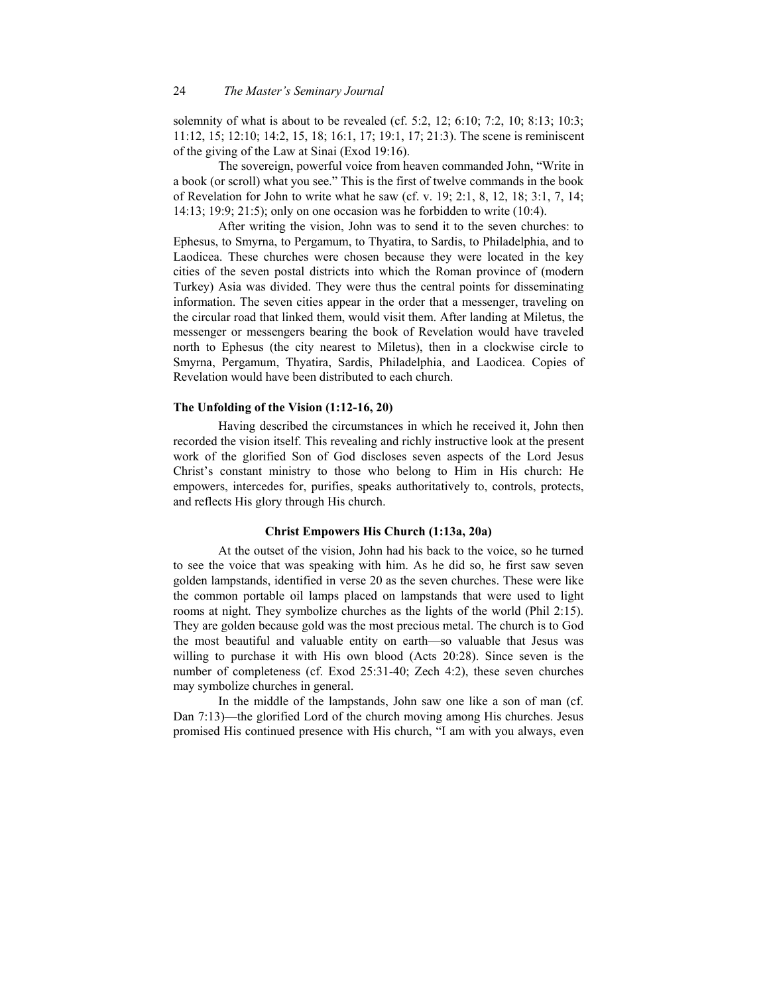solemnity of what is about to be revealed (cf. 5:2, 12; 6:10; 7:2, 10; 8:13; 10:3; 11:12, 15; 12:10; 14:2, 15, 18; 16:1, 17; 19:1, 17; 21:3). The scene is reminiscent of the giving of the Law at Sinai (Exod 19:16).

The sovereign, powerful voice from heaven commanded John, "Write in a book (or scroll) what you see." This is the first of twelve commands in the book of Revelation for John to write what he saw (cf. v. 19; 2:1, 8, 12, 18; 3:1, 7, 14; 14:13; 19:9; 21:5); only on one occasion was he forbidden to write (10:4).

After writing the vision, John was to send it to the seven churches: to Ephesus, to Smyrna, to Pergamum, to Thyatira, to Sardis, to Philadelphia, and to Laodicea. These churches were chosen because they were located in the key cities of the seven postal districts into which the Roman province of (modern Turkey) Asia was divided. They were thus the central points for disseminating information. The seven cities appear in the order that a messenger, traveling on the circular road that linked them, would visit them. After landing at Miletus, the messenger or messengers bearing the book of Revelation would have traveled north to Ephesus (the city nearest to Miletus), then in a clockwise circle to Smyrna, Pergamum, Thyatira, Sardis, Philadelphia, and Laodicea. Copies of Revelation would have been distributed to each church.

# **The Unfolding of the Vision (1:12-16, 20)**

Having described the circumstances in which he received it, John then recorded the vision itself. This revealing and richly instructive look at the present work of the glorified Son of God discloses seven aspects of the Lord Jesus Christ's constant ministry to those who belong to Him in His church: He empowers, intercedes for, purifies, speaks authoritatively to, controls, protects, and reflects His glory through His church.

## **Christ Empowers His Church (1:13a, 20a)**

At the outset of the vision, John had his back to the voice, so he turned to see the voice that was speaking with him. As he did so, he first saw seven golden lampstands, identified in verse 20 as the seven churches. These were like the common portable oil lamps placed on lampstands that were used to light rooms at night. They symbolize churches as the lights of the world (Phil 2:15). They are golden because gold was the most precious metal. The church is to God the most beautiful and valuable entity on earth—so valuable that Jesus was willing to purchase it with His own blood (Acts 20:28). Since seven is the number of completeness (cf. Exod 25:31-40; Zech 4:2), these seven churches may symbolize churches in general.

In the middle of the lampstands, John saw one like a son of man (cf. Dan 7:13)—the glorified Lord of the church moving among His churches. Jesus promised His continued presence with His church, "I am with you always, even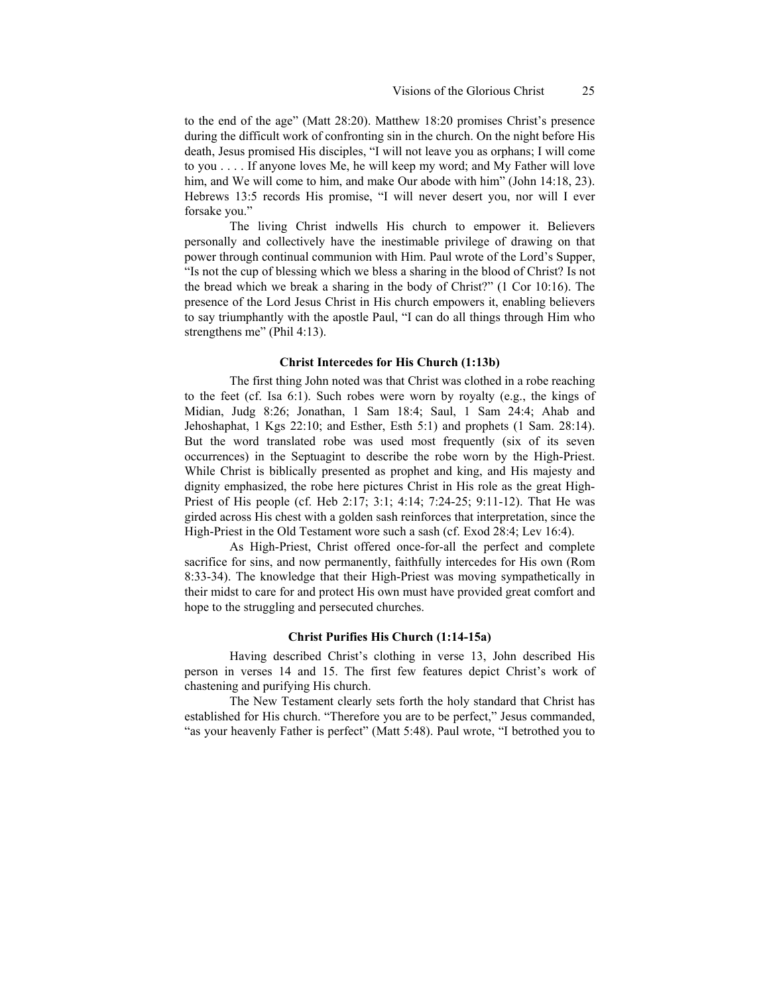to the end of the age" (Matt 28:20). Matthew 18:20 promises Christ's presence during the difficult work of confronting sin in the church. On the night before His death, Jesus promised His disciples, "I will not leave you as orphans; I will come to you . . . . If anyone loves Me, he will keep my word; and My Father will love him, and We will come to him, and make Our abode with him" (John 14:18, 23). Hebrews 13:5 records His promise, "I will never desert you, nor will I ever forsake you."

The living Christ indwells His church to empower it. Believers personally and collectively have the inestimable privilege of drawing on that power through continual communion with Him. Paul wrote of the Lord's Supper, "Is not the cup of blessing which we bless a sharing in the blood of Christ? Is not the bread which we break a sharing in the body of Christ?" (1 Cor 10:16). The presence of the Lord Jesus Christ in His church empowers it, enabling believers to say triumphantly with the apostle Paul, "I can do all things through Him who strengthens me" (Phil 4:13).

# **Christ Intercedes for His Church (1:13b)**

The first thing John noted was that Christ was clothed in a robe reaching to the feet (cf. Isa 6:1). Such robes were worn by royalty (e.g., the kings of Midian, Judg 8:26; Jonathan, 1 Sam 18:4; Saul, 1 Sam 24:4; Ahab and Jehoshaphat, 1 Kgs 22:10; and Esther, Esth 5:1) and prophets (1 Sam. 28:14). But the word translated robe was used most frequently (six of its seven occurrences) in the Septuagint to describe the robe worn by the High-Priest. While Christ is biblically presented as prophet and king, and His majesty and dignity emphasized, the robe here pictures Christ in His role as the great High-Priest of His people (cf. Heb 2:17; 3:1; 4:14; 7:24-25; 9:11-12). That He was girded across His chest with a golden sash reinforces that interpretation, since the High-Priest in the Old Testament wore such a sash (cf. Exod 28:4; Lev 16:4).

As High-Priest, Christ offered once-for-all the perfect and complete sacrifice for sins, and now permanently, faithfully intercedes for His own (Rom 8:33-34). The knowledge that their High-Priest was moving sympathetically in their midst to care for and protect His own must have provided great comfort and hope to the struggling and persecuted churches.

# **Christ Purifies His Church (1:14-15a)**

Having described Christ's clothing in verse 13, John described His person in verses 14 and 15. The first few features depict Christ's work of chastening and purifying His church.

The New Testament clearly sets forth the holy standard that Christ has established for His church. "Therefore you are to be perfect," Jesus commanded, "as your heavenly Father is perfect" (Matt 5:48). Paul wrote, "I betrothed you to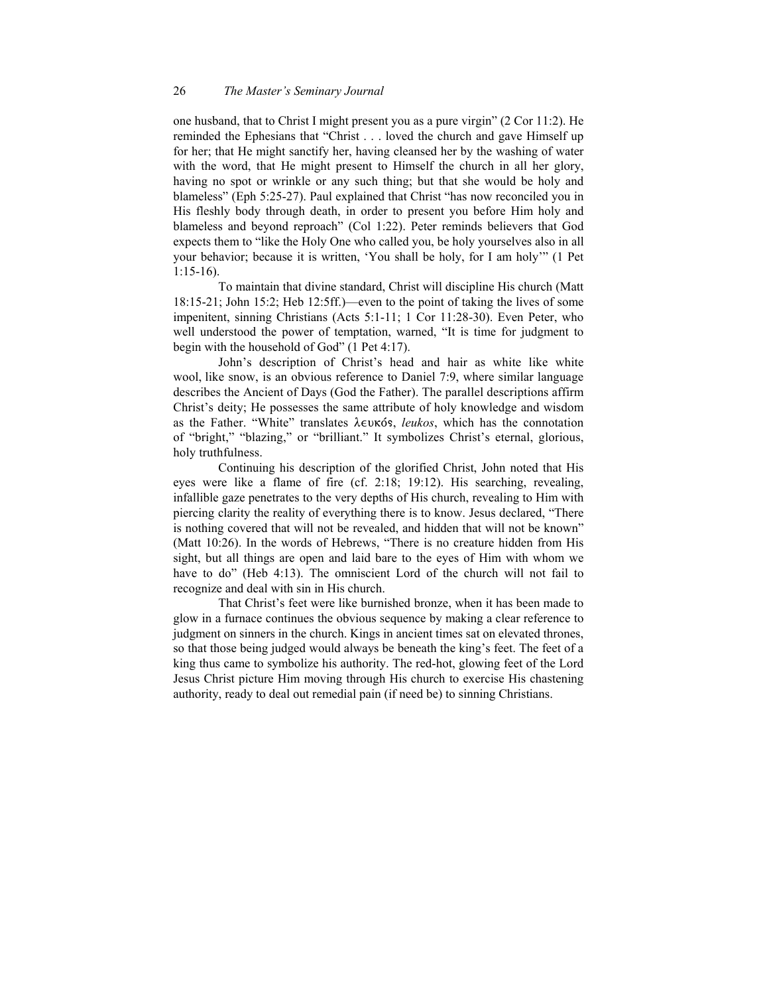one husband, that to Christ I might present you as a pure virgin" (2 Cor 11:2). He reminded the Ephesians that "Christ . . . loved the church and gave Himself up for her; that He might sanctify her, having cleansed her by the washing of water with the word, that He might present to Himself the church in all her glory, having no spot or wrinkle or any such thing; but that she would be holy and blameless" (Eph 5:25-27). Paul explained that Christ "has now reconciled you in His fleshly body through death, in order to present you before Him holy and blameless and beyond reproach" (Col 1:22). Peter reminds believers that God expects them to "like the Holy One who called you, be holy yourselves also in all your behavior; because it is written, 'You shall be holy, for I am holy'" (1 Pet 1:15-16).

To maintain that divine standard, Christ will discipline His church (Matt 18:15-21; John 15:2; Heb 12:5ff.)—even to the point of taking the lives of some impenitent, sinning Christians (Acts 5:1-11; 1 Cor 11:28-30). Even Peter, who well understood the power of temptation, warned, "It is time for judgment to begin with the household of God" (1 Pet 4:17).

John's description of Christ's head and hair as white like white wool, like snow, is an obvious reference to Daniel 7:9, where similar language describes the Ancient of Days (God the Father). The parallel descriptions affirm Christ's deity; He possesses the same attribute of holy knowledge and wisdom as the Father. "White" translates λευκός, *leukos*, which has the connotation of "bright," "blazing," or "brilliant." It symbolizes Christ's eternal, glorious, holy truthfulness.

Continuing his description of the glorified Christ, John noted that His eyes were like a flame of fire (cf. 2:18; 19:12). His searching, revealing, infallible gaze penetrates to the very depths of His church, revealing to Him with piercing clarity the reality of everything there is to know. Jesus declared, "There is nothing covered that will not be revealed, and hidden that will not be known" (Matt 10:26). In the words of Hebrews, "There is no creature hidden from His sight, but all things are open and laid bare to the eyes of Him with whom we have to do" (Heb 4:13). The omniscient Lord of the church will not fail to recognize and deal with sin in His church.

That Christ's feet were like burnished bronze, when it has been made to glow in a furnace continues the obvious sequence by making a clear reference to judgment on sinners in the church. Kings in ancient times sat on elevated thrones, so that those being judged would always be beneath the king's feet. The feet of a king thus came to symbolize his authority. The red-hot, glowing feet of the Lord Jesus Christ picture Him moving through His church to exercise His chastening authority, ready to deal out remedial pain (if need be) to sinning Christians.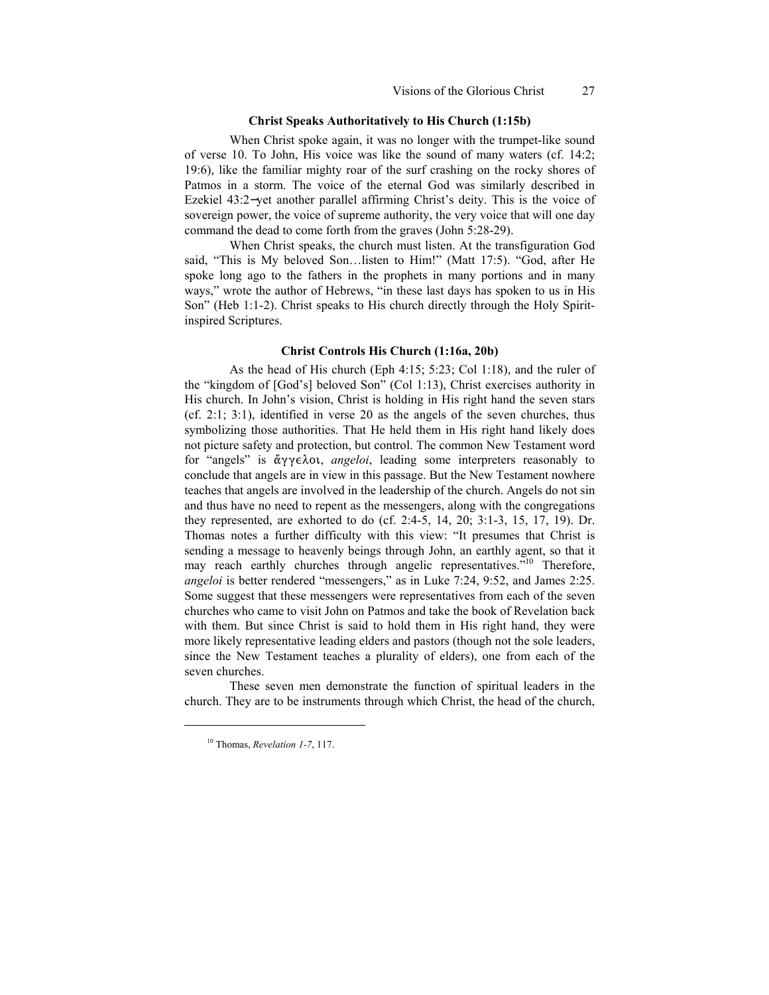### **Christ Speaks Authoritatively to His Church (1:15b)**

When Christ spoke again, it was no longer with the trumpet-like sound of verse 10. To John, His voice was like the sound of many waters (cf. 14:2; 19:6), like the familiar mighty roar of the surf crashing on the rocky shores of Patmos in a storm. The voice of the eternal God was similarly described in Ezekiel 43:2−yet another parallel affirming Christ's deity. This is the voice of sovereign power, the voice of supreme authority, the very voice that will one day command the dead to come forth from the graves (John 5:28-29).

When Christ speaks, the church must listen. At the transfiguration God said, "This is My beloved Son…listen to Him!" (Matt 17:5). "God, after He spoke long ago to the fathers in the prophets in many portions and in many ways," wrote the author of Hebrews, "in these last days has spoken to us in His Son" (Heb 1:1-2). Christ speaks to His church directly through the Holy Spiritinspired Scriptures.

# **Christ Controls His Church (1:16a, 20b)**

As the head of His church (Eph 4:15; 5:23; Col 1:18), and the ruler of the "kingdom of [God's] beloved Son" (Col 1:13), Christ exercises authority in His church. In John's vision, Christ is holding in His right hand the seven stars (cf. 2:1; 3:1), identified in verse 20 as the angels of the seven churches, thus symbolizing those authorities. That He held them in His right hand likely does not picture safety and protection, but control. The common New Testament word for "angels" is ἄγγελοι, *angeloi*, leading some interpreters reasonably to conclude that angels are in view in this passage. But the New Testament nowhere teaches that angels are involved in the leadership of the church. Angels do not sin and thus have no need to repent as the messengers, along with the congregations they represented, are exhorted to do (cf. 2:4-5, 14, 20; 3:1-3, 15, 17, 19). Dr. Thomas notes a further difficulty with this view: "It presumes that Christ is sending a message to heavenly beings through John, an earthly agent, so that it may reach earthly churches through angelic representatives."<sup>10</sup> [T](#page-8-0)herefore, *angeloi* is better rendered "messengers," as in Luke 7:24, 9:52, and James 2:25. Some suggest that these messengers were representatives from each of the seven churches who came to visit John on Patmos and take the book of Revelation back with them. But since Christ is said to hold them in His right hand, they were more likely representative leading elders and pastors (though not the sole leaders, since the New Testament teaches a plurality of elders), one from each of the seven churches.

These seven men demonstrate the function of spiritual leaders in the church. They are to be instruments through which Christ, the head of the church,

<span id="page-8-0"></span><sup>10</sup> Thomas, *Revelation 1-7*, 117.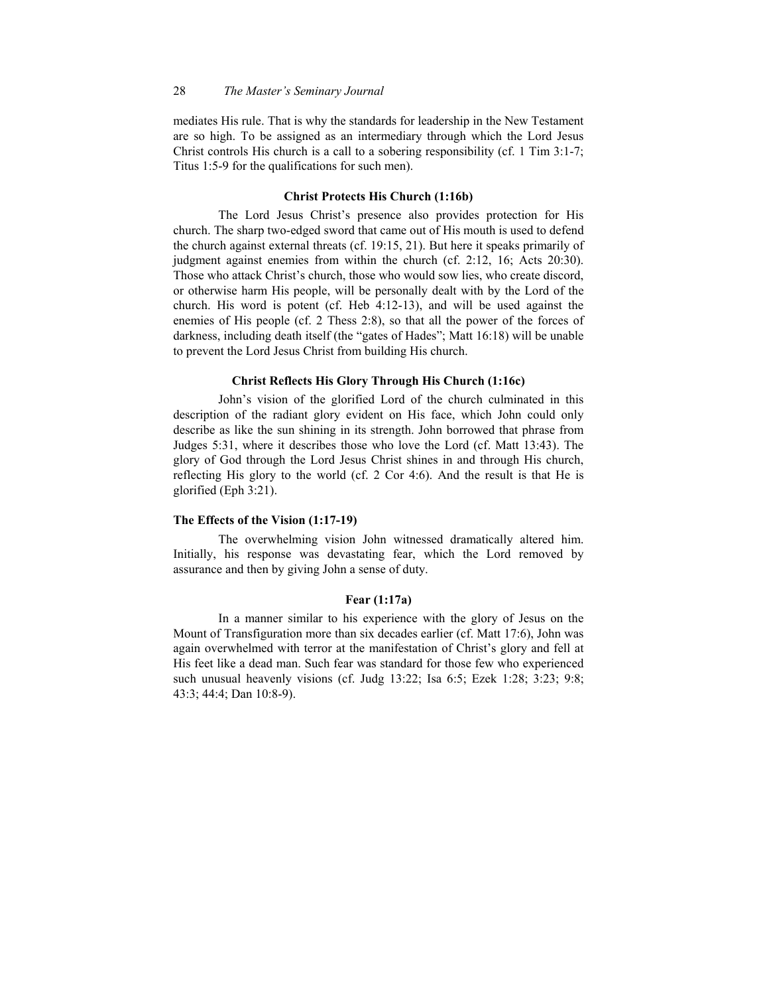mediates His rule. That is why the standards for leadership in the New Testament are so high. To be assigned as an intermediary through which the Lord Jesus Christ controls His church is a call to a sobering responsibility (cf. 1 Tim 3:1-7; Titus 1:5-9 for the qualifications for such men).

# **Christ Protects His Church (1:16b)**

The Lord Jesus Christ's presence also provides protection for His church. The sharp two-edged sword that came out of His mouth is used to defend the church against external threats (cf. 19:15, 21). But here it speaks primarily of judgment against enemies from within the church (cf. 2:12, 16; Acts 20:30). Those who attack Christ's church, those who would sow lies, who create discord, or otherwise harm His people, will be personally dealt with by the Lord of the church. His word is potent (cf. Heb 4:12-13), and will be used against the enemies of His people (cf. 2 Thess 2:8), so that all the power of the forces of darkness, including death itself (the "gates of Hades"; Matt 16:18) will be unable to prevent the Lord Jesus Christ from building His church.

# **Christ Reflects His Glory Through His Church (1:16c)**

John's vision of the glorified Lord of the church culminated in this description of the radiant glory evident on His face, which John could only describe as like the sun shining in its strength. John borrowed that phrase from Judges 5:31, where it describes those who love the Lord (cf. Matt 13:43). The glory of God through the Lord Jesus Christ shines in and through His church, reflecting His glory to the world (cf. 2 Cor 4:6). And the result is that He is glorified (Eph 3:21).

#### **The Effects of the Vision (1:17-19)**

The overwhelming vision John witnessed dramatically altered him. Initially, his response was devastating fear, which the Lord removed by assurance and then by giving John a sense of duty.

# **Fear (1:17a)**

In a manner similar to his experience with the glory of Jesus on the Mount of Transfiguration more than six decades earlier (cf. Matt 17:6), John was again overwhelmed with terror at the manifestation of Christ's glory and fell at His feet like a dead man. Such fear was standard for those few who experienced such unusual heavenly visions (cf. Judg 13:22; Isa 6:5; Ezek 1:28; 3:23; 9:8; 43:3; 44:4; Dan 10:8-9).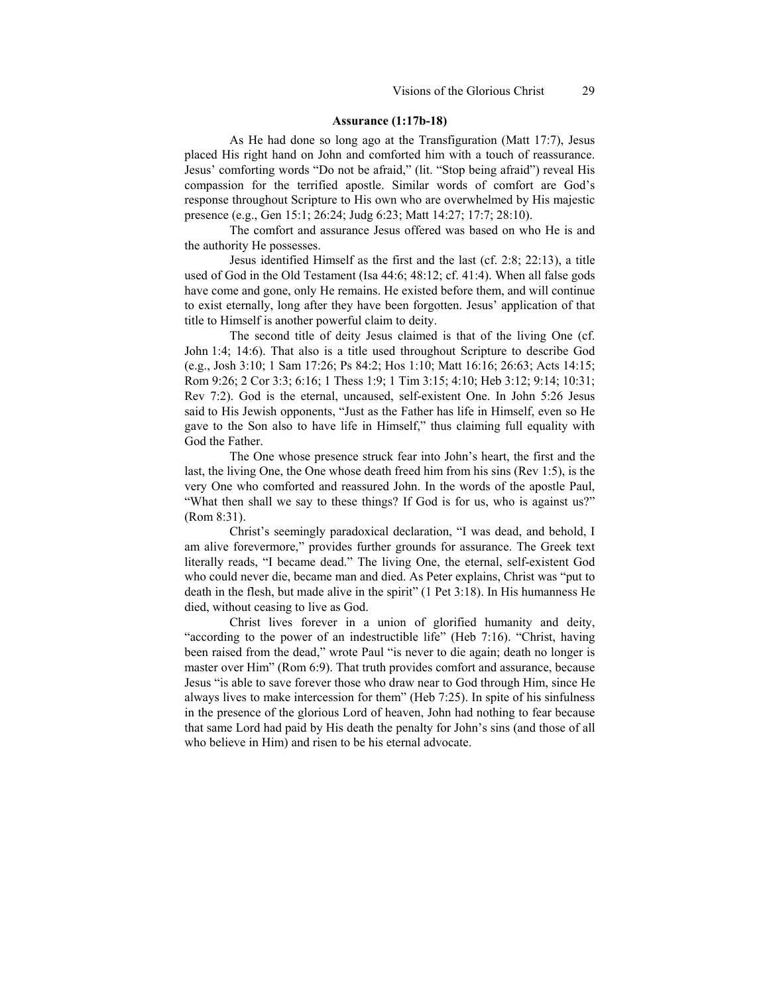#### **Assurance (1:17b-18)**

As He had done so long ago at the Transfiguration (Matt 17:7), Jesus placed His right hand on John and comforted him with a touch of reassurance. Jesus' comforting words "Do not be afraid," (lit. "Stop being afraid") reveal His compassion for the terrified apostle. Similar words of comfort are God's response throughout Scripture to His own who are overwhelmed by His majestic presence (e.g., Gen 15:1; 26:24; Judg 6:23; Matt 14:27; 17:7; 28:10).

The comfort and assurance Jesus offered was based on who He is and the authority He possesses.

Jesus identified Himself as the first and the last (cf. 2:8; 22:13), a title used of God in the Old Testament (Isa 44:6; 48:12; cf. 41:4). When all false gods have come and gone, only He remains. He existed before them, and will continue to exist eternally, long after they have been forgotten. Jesus' application of that title to Himself is another powerful claim to deity.

The second title of deity Jesus claimed is that of the living One (cf. John 1:4; 14:6). That also is a title used throughout Scripture to describe God (e.g., Josh 3:10; 1 Sam 17:26; Ps 84:2; Hos 1:10; Matt 16:16; 26:63; Acts 14:15; Rom 9:26; 2 Cor 3:3; 6:16; 1 Thess 1:9; 1 Tim 3:15; 4:10; Heb 3:12; 9:14; 10:31; Rev 7:2). God is the eternal, uncaused, self-existent One. In John 5:26 Jesus said to His Jewish opponents, "Just as the Father has life in Himself, even so He gave to the Son also to have life in Himself," thus claiming full equality with God the Father.

The One whose presence struck fear into John's heart, the first and the last, the living One, the One whose death freed him from his sins (Rev 1:5), is the very One who comforted and reassured John. In the words of the apostle Paul, "What then shall we say to these things? If God is for us, who is against us?" (Rom 8:31).

Christ's seemingly paradoxical declaration, "I was dead, and behold, I am alive forevermore," provides further grounds for assurance. The Greek text literally reads, "I became dead." The living One, the eternal, self-existent God who could never die, became man and died. As Peter explains, Christ was "put to death in the flesh, but made alive in the spirit" (1 Pet 3:18). In His humanness He died, without ceasing to live as God.

Christ lives forever in a union of glorified humanity and deity, "according to the power of an indestructible life" (Heb 7:16). "Christ, having been raised from the dead," wrote Paul "is never to die again; death no longer is master over Him" (Rom 6:9). That truth provides comfort and assurance, because Jesus "is able to save forever those who draw near to God through Him, since He always lives to make intercession for them" (Heb 7:25). In spite of his sinfulness in the presence of the glorious Lord of heaven, John had nothing to fear because that same Lord had paid by His death the penalty for John's sins (and those of all who believe in Him) and risen to be his eternal advocate.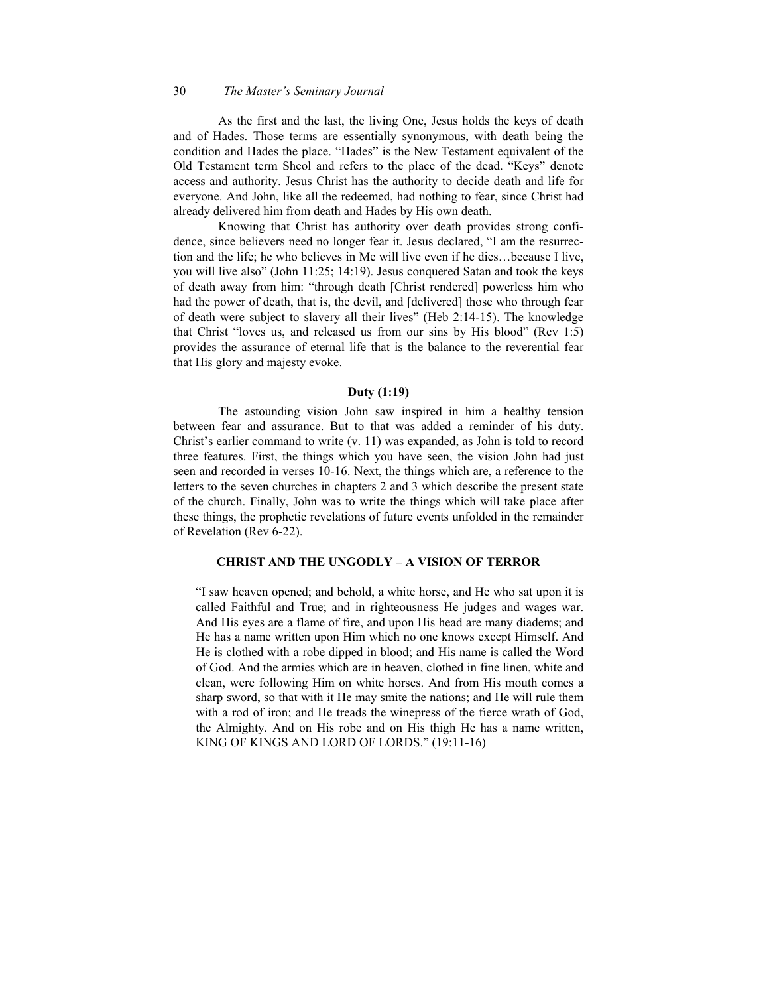## 30 *The Master's Seminary Journal*

As the first and the last, the living One, Jesus holds the keys of death and of Hades. Those terms are essentially synonymous, with death being the condition and Hades the place. "Hades" is the New Testament equivalent of the Old Testament term Sheol and refers to the place of the dead. "Keys" denote access and authority. Jesus Christ has the authority to decide death and life for everyone. And John, like all the redeemed, had nothing to fear, since Christ had already delivered him from death and Hades by His own death.

Knowing that Christ has authority over death provides strong confidence, since believers need no longer fear it. Jesus declared, "I am the resurrection and the life; he who believes in Me will live even if he dies…because I live, you will live also" (John 11:25; 14:19). Jesus conquered Satan and took the keys of death away from him: "through death [Christ rendered] powerless him who had the power of death, that is, the devil, and [delivered] those who through fear of death were subject to slavery all their lives" (Heb 2:14-15). The knowledge that Christ "loves us, and released us from our sins by His blood" (Rev 1:5) provides the assurance of eternal life that is the balance to the reverential fear that His glory and majesty evoke.

### **Duty (1:19)**

The astounding vision John saw inspired in him a healthy tension between fear and assurance. But to that was added a reminder of his duty. Christ's earlier command to write (v. 11) was expanded, as John is told to record three features. First, the things which you have seen, the vision John had just seen and recorded in verses 10-16. Next, the things which are, a reference to the letters to the seven churches in chapters 2 and 3 which describe the present state of the church. Finally, John was to write the things which will take place after these things, the prophetic revelations of future events unfolded in the remainder of Revelation (Rev 6-22).

# **CHRIST AND THE UNGODLY – A VISION OF TERROR**

"I saw heaven opened; and behold, a white horse, and He who sat upon it is called Faithful and True; and in righteousness He judges and wages war. And His eyes are a flame of fire, and upon His head are many diadems; and He has a name written upon Him which no one knows except Himself. And He is clothed with a robe dipped in blood; and His name is called the Word of God. And the armies which are in heaven, clothed in fine linen, white and clean, were following Him on white horses. And from His mouth comes a sharp sword, so that with it He may smite the nations; and He will rule them with a rod of iron; and He treads the winepress of the fierce wrath of God, the Almighty. And on His robe and on His thigh He has a name written, KING OF KINGS AND LORD OF LORDS." (19:11-16)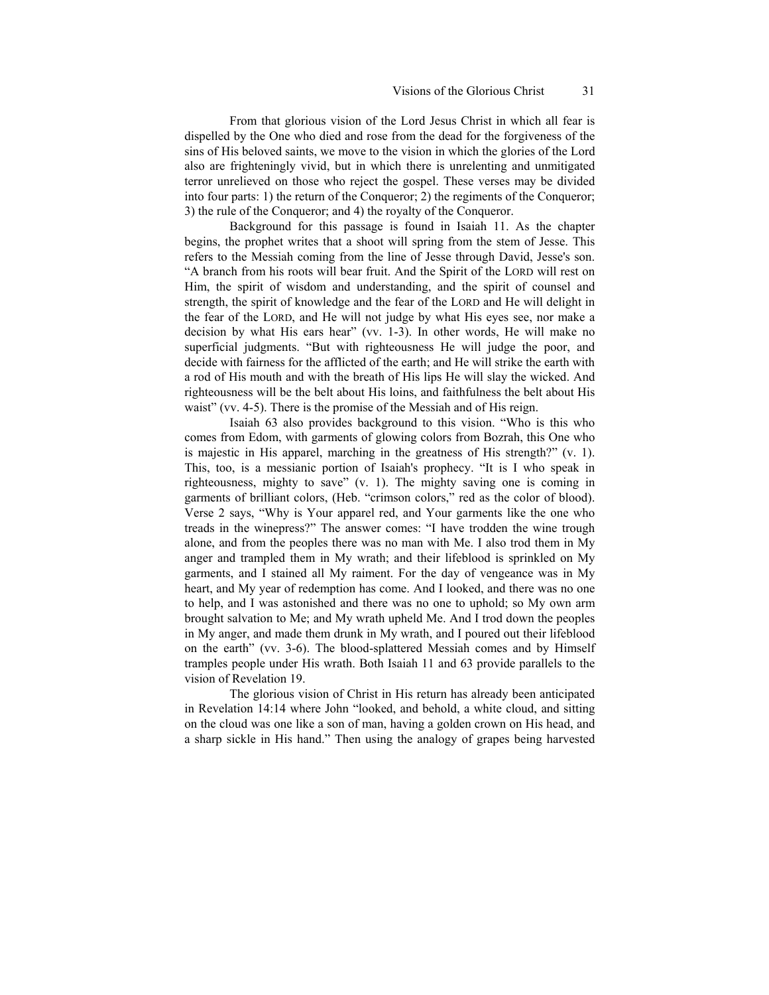From that glorious vision of the Lord Jesus Christ in which all fear is dispelled by the One who died and rose from the dead for the forgiveness of the sins of His beloved saints, we move to the vision in which the glories of the Lord also are frighteningly vivid, but in which there is unrelenting and unmitigated terror unrelieved on those who reject the gospel. These verses may be divided into four parts: 1) the return of the Conqueror; 2) the regiments of the Conqueror; 3) the rule of the Conqueror; and 4) the royalty of the Conqueror.

Background for this passage is found in Isaiah 11. As the chapter begins, the prophet writes that a shoot will spring from the stem of Jesse. This refers to the Messiah coming from the line of Jesse through David, Jesse's son. "A branch from his roots will bear fruit. And the Spirit of the LORD will rest on Him, the spirit of wisdom and understanding, and the spirit of counsel and strength, the spirit of knowledge and the fear of the LORD and He will delight in the fear of the LORD, and He will not judge by what His eyes see, nor make a decision by what His ears hear" (vv. 1-3). In other words, He will make no superficial judgments. "But with righteousness He will judge the poor, and decide with fairness for the afflicted of the earth; and He will strike the earth with a rod of His mouth and with the breath of His lips He will slay the wicked. And righteousness will be the belt about His loins, and faithfulness the belt about His waist" (vv. 4-5). There is the promise of the Messiah and of His reign.

Isaiah 63 also provides background to this vision. "Who is this who comes from Edom, with garments of glowing colors from Bozrah, this One who is majestic in His apparel, marching in the greatness of His strength?" (v. 1). This, too, is a messianic portion of Isaiah's prophecy. "It is I who speak in righteousness, mighty to save" (v. 1). The mighty saving one is coming in garments of brilliant colors, (Heb. "crimson colors," red as the color of blood). Verse 2 says, "Why is Your apparel red, and Your garments like the one who treads in the winepress?" The answer comes: "I have trodden the wine trough alone, and from the peoples there was no man with Me. I also trod them in My anger and trampled them in My wrath; and their lifeblood is sprinkled on My garments, and I stained all My raiment. For the day of vengeance was in My heart, and My year of redemption has come. And I looked, and there was no one to help, and I was astonished and there was no one to uphold; so My own arm brought salvation to Me; and My wrath upheld Me. And I trod down the peoples in My anger, and made them drunk in My wrath, and I poured out their lifeblood on the earth" (vv. 3-6). The blood-splattered Messiah comes and by Himself tramples people under His wrath. Both Isaiah 11 and 63 provide parallels to the vision of Revelation 19.

The glorious vision of Christ in His return has already been anticipated in Revelation 14:14 where John "looked, and behold, a white cloud, and sitting on the cloud was one like a son of man, having a golden crown on His head, and a sharp sickle in His hand." Then using the analogy of grapes being harvested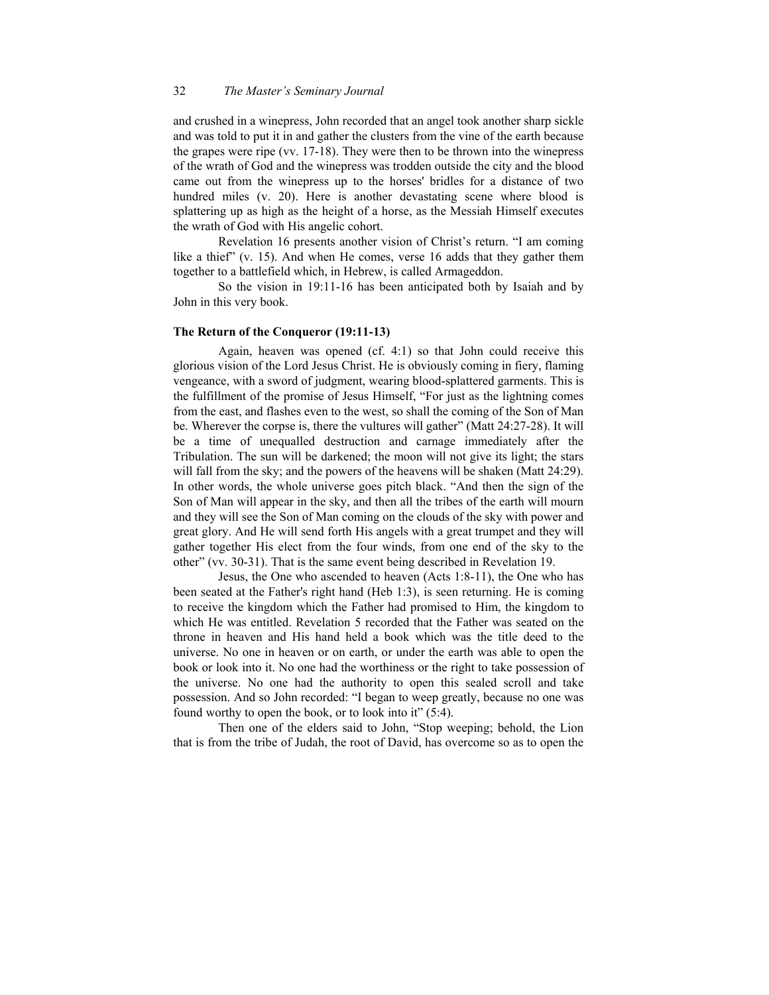and crushed in a winepress, John recorded that an angel took another sharp sickle and was told to put it in and gather the clusters from the vine of the earth because the grapes were ripe (vv. 17-18). They were then to be thrown into the winepress of the wrath of God and the winepress was trodden outside the city and the blood came out from the winepress up to the horses' bridles for a distance of two hundred miles (v. 20). Here is another devastating scene where blood is splattering up as high as the height of a horse, as the Messiah Himself executes the wrath of God with His angelic cohort.

Revelation 16 presents another vision of Christ's return. "I am coming like a thief" (v. 15). And when He comes, verse 16 adds that they gather them together to a battlefield which, in Hebrew, is called Armageddon.

So the vision in 19:11-16 has been anticipated both by Isaiah and by John in this very book.

# **The Return of the Conqueror (19:11-13)**

Again, heaven was opened (cf. 4:1) so that John could receive this glorious vision of the Lord Jesus Christ. He is obviously coming in fiery, flaming vengeance, with a sword of judgment, wearing blood-splattered garments. This is the fulfillment of the promise of Jesus Himself, "For just as the lightning comes from the east, and flashes even to the west, so shall the coming of the Son of Man be. Wherever the corpse is, there the vultures will gather" (Matt 24:27-28). It will be a time of unequalled destruction and carnage immediately after the Tribulation. The sun will be darkened; the moon will not give its light; the stars will fall from the sky; and the powers of the heavens will be shaken (Matt 24:29). In other words, the whole universe goes pitch black. "And then the sign of the Son of Man will appear in the sky, and then all the tribes of the earth will mourn and they will see the Son of Man coming on the clouds of the sky with power and great glory. And He will send forth His angels with a great trumpet and they will gather together His elect from the four winds, from one end of the sky to the other" (vv. 30-31). That is the same event being described in Revelation 19.

Jesus, the One who ascended to heaven (Acts 1:8-11), the One who has been seated at the Father's right hand (Heb 1:3), is seen returning. He is coming to receive the kingdom which the Father had promised to Him, the kingdom to which He was entitled. Revelation 5 recorded that the Father was seated on the throne in heaven and His hand held a book which was the title deed to the universe. No one in heaven or on earth, or under the earth was able to open the book or look into it. No one had the worthiness or the right to take possession of the universe. No one had the authority to open this sealed scroll and take possession. And so John recorded: "I began to weep greatly, because no one was found worthy to open the book, or to look into it" (5:4).

Then one of the elders said to John, "Stop weeping; behold, the Lion that is from the tribe of Judah, the root of David, has overcome so as to open the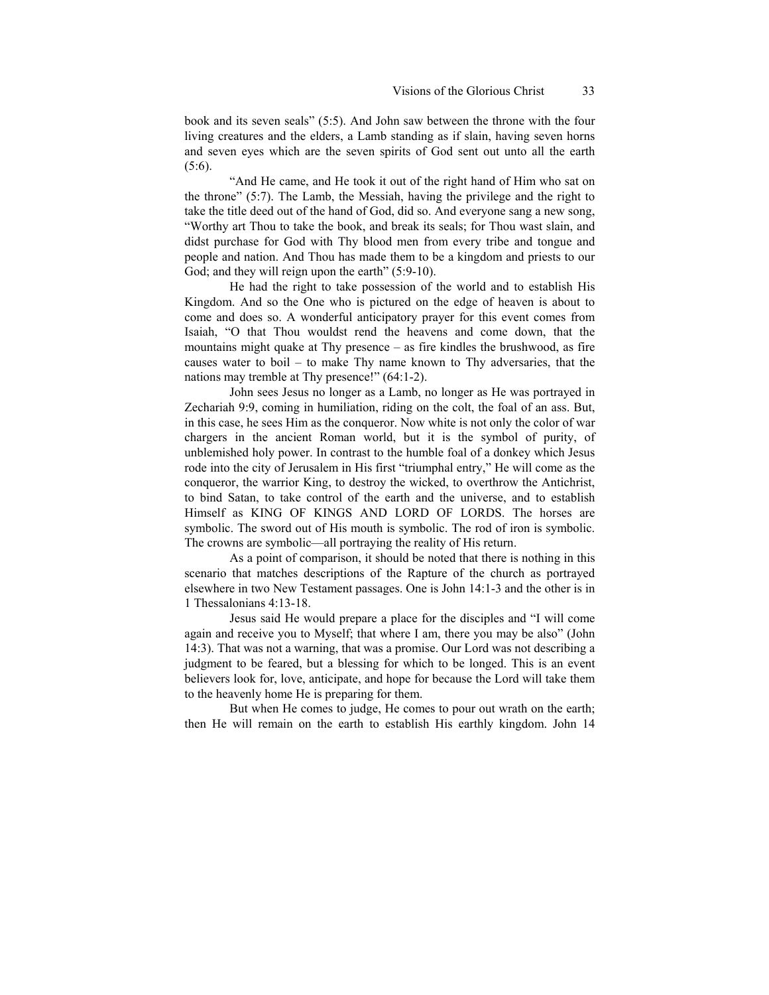book and its seven seals" (5:5). And John saw between the throne with the four living creatures and the elders, a Lamb standing as if slain, having seven horns and seven eyes which are the seven spirits of God sent out unto all the earth (5:6).

"And He came, and He took it out of the right hand of Him who sat on the throne" (5:7). The Lamb, the Messiah, having the privilege and the right to take the title deed out of the hand of God, did so. And everyone sang a new song, "Worthy art Thou to take the book, and break its seals; for Thou wast slain, and didst purchase for God with Thy blood men from every tribe and tongue and people and nation. And Thou has made them to be a kingdom and priests to our God; and they will reign upon the earth" (5:9-10).

He had the right to take possession of the world and to establish His Kingdom. And so the One who is pictured on the edge of heaven is about to come and does so. A wonderful anticipatory prayer for this event comes from Isaiah, "O that Thou wouldst rend the heavens and come down, that the mountains might quake at Thy presence – as fire kindles the brushwood, as fire causes water to boil – to make Thy name known to Thy adversaries, that the nations may tremble at Thy presence!" (64:1-2).

John sees Jesus no longer as a Lamb, no longer as He was portrayed in Zechariah 9:9, coming in humiliation, riding on the colt, the foal of an ass. But, in this case, he sees Him as the conqueror. Now white is not only the color of war chargers in the ancient Roman world, but it is the symbol of purity, of unblemished holy power. In contrast to the humble foal of a donkey which Jesus rode into the city of Jerusalem in His first "triumphal entry," He will come as the conqueror, the warrior King, to destroy the wicked, to overthrow the Antichrist, to bind Satan, to take control of the earth and the universe, and to establish Himself as KING OF KINGS AND LORD OF LORDS. The horses are symbolic. The sword out of His mouth is symbolic. The rod of iron is symbolic. The crowns are symbolic—all portraying the reality of His return.

As a point of comparison, it should be noted that there is nothing in this scenario that matches descriptions of the Rapture of the church as portrayed elsewhere in two New Testament passages. One is John 14:1-3 and the other is in 1 Thessalonians 4:13-18.

Jesus said He would prepare a place for the disciples and "I will come again and receive you to Myself; that where I am, there you may be also" (John 14:3). That was not a warning, that was a promise. Our Lord was not describing a judgment to be feared, but a blessing for which to be longed. This is an event believers look for, love, anticipate, and hope for because the Lord will take them to the heavenly home He is preparing for them.

But when He comes to judge, He comes to pour out wrath on the earth; then He will remain on the earth to establish His earthly kingdom. John 14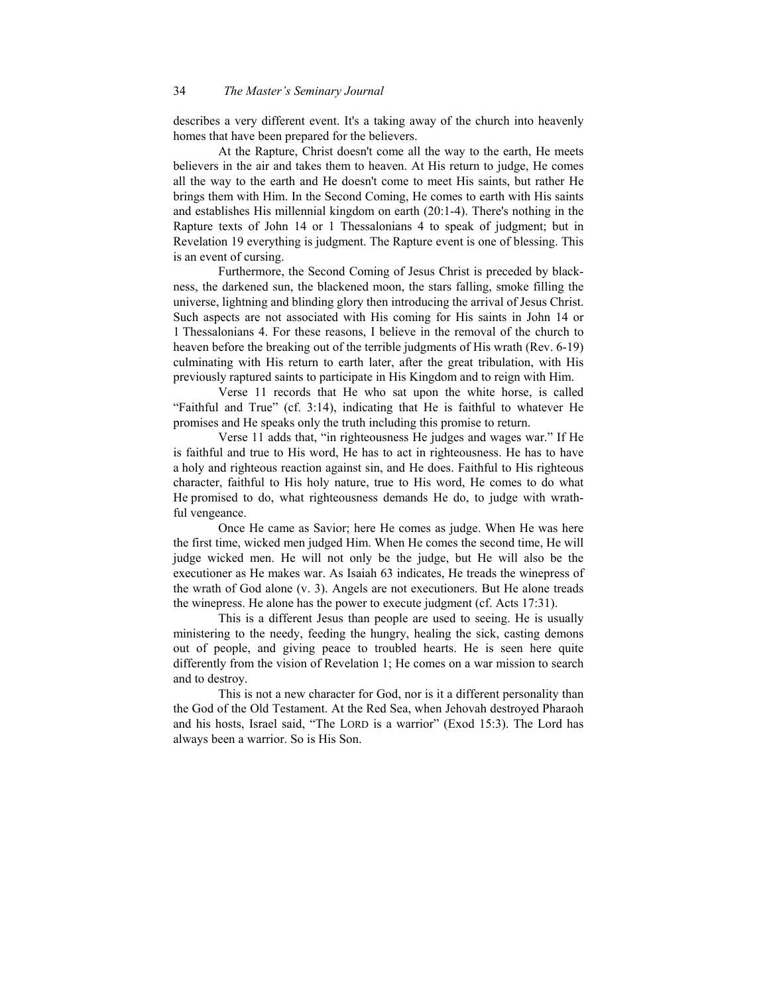describes a very different event. It's a taking away of the church into heavenly homes that have been prepared for the believers.

At the Rapture, Christ doesn't come all the way to the earth, He meets believers in the air and takes them to heaven. At His return to judge, He comes all the way to the earth and He doesn't come to meet His saints, but rather He brings them with Him. In the Second Coming, He comes to earth with His saints and establishes His millennial kingdom on earth (20:1-4). There's nothing in the Rapture texts of John 14 or 1 Thessalonians 4 to speak of judgment; but in Revelation 19 everything is judgment. The Rapture event is one of blessing. This is an event of cursing.

Furthermore, the Second Coming of Jesus Christ is preceded by blackness, the darkened sun, the blackened moon, the stars falling, smoke filling the universe, lightning and blinding glory then introducing the arrival of Jesus Christ. Such aspects are not associated with His coming for His saints in John 14 or 1 Thessalonians 4. For these reasons, I believe in the removal of the church to heaven before the breaking out of the terrible judgments of His wrath (Rev. 6-19) culminating with His return to earth later, after the great tribulation, with His previously raptured saints to participate in His Kingdom and to reign with Him.

Verse 11 records that He who sat upon the white horse, is called "Faithful and True" (cf. 3:14), indicating that He is faithful to whatever He promises and He speaks only the truth including this promise to return.

Verse 11 adds that, "in righteousness He judges and wages war." If He is faithful and true to His word, He has to act in righteousness. He has to have a holy and righteous reaction against sin, and He does. Faithful to His righteous character, faithful to His holy nature, true to His word, He comes to do what He promised to do, what righteousness demands He do, to judge with wrathful vengeance.

Once He came as Savior; here He comes as judge. When He was here the first time, wicked men judged Him. When He comes the second time, He will judge wicked men. He will not only be the judge, but He will also be the executioner as He makes war. As Isaiah 63 indicates, He treads the winepress of the wrath of God alone (v. 3). Angels are not executioners. But He alone treads the winepress. He alone has the power to execute judgment (cf. Acts 17:31).

This is a different Jesus than people are used to seeing. He is usually ministering to the needy, feeding the hungry, healing the sick, casting demons out of people, and giving peace to troubled hearts. He is seen here quite differently from the vision of Revelation 1; He comes on a war mission to search and to destroy.

This is not a new character for God, nor is it a different personality than the God of the Old Testament. At the Red Sea, when Jehovah destroyed Pharaoh and his hosts, Israel said, "The LORD is a warrior" (Exod 15:3). The Lord has always been a warrior. So is His Son.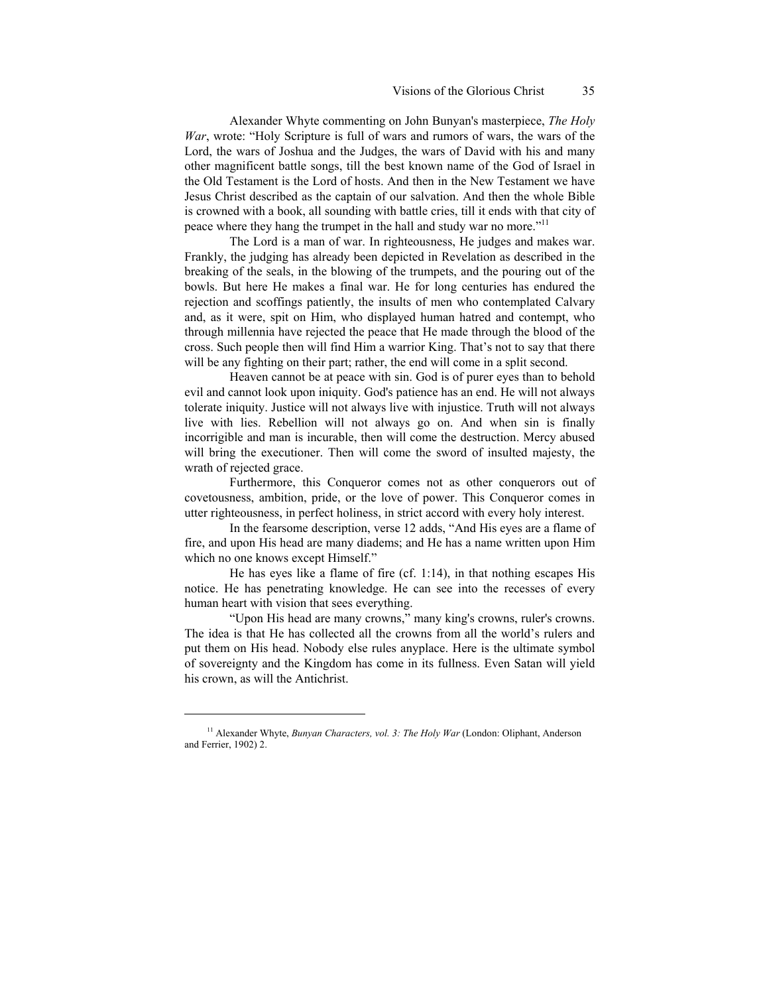Alexander Whyte commenting on John Bunyan's masterpiece, *The Holy War*, wrote: "Holy Scripture is full of wars and rumors of wars, the wars of the Lord, the wars of Joshua and the Judges, the wars of David with his and many other magnificent battle songs, till the best known name of the God of Israel in the Old Testament is the Lord of hosts. And then in the New Testament we have Jesus Christ described as the captain of our salvation. And then the whole Bible is crowned with a book, all sounding with battle cries, till it ends with that city of peace where they hang the trumpet in the hall and study war no more."<sup>11</sup>

The Lord is a man of war. In righteousness, He judges and makes war. Frankly, the judging has already been depicted in Revelation as described in the breaking of the seals, in the blowing of the trumpets, and the pouring out of the bowls. But here He makes a final war. He for long centuries has endured the rejection and scoffings patiently, the insults of men who contemplated Calvary and, as it were, spit on Him, who displayed human hatred and contempt, who through millennia have rejected the peace that He made through the blood of the cross. Such people then will find Him a warrior King. That's not to say that there will be any fighting on their part; rather, the end will come in a split second.

Heaven cannot be at peace with sin. God is of purer eyes than to behold evil and cannot look upon iniquity. God's patience has an end. He will not always tolerate iniquity. Justice will not always live with injustice. Truth will not always live with lies. Rebellion will not always go on. And when sin is finally incorrigible and man is incurable, then will come the destruction. Mercy abused will bring the executioner. Then will come the sword of insulted majesty, the wrath of rejected grace.

Furthermore, this Conqueror comes not as other conquerors out of covetousness, ambition, pride, or the love of power. This Conqueror comes in utter righteousness, in perfect holiness, in strict accord with every holy interest.

In the fearsome description, verse 12 adds, "And His eyes are a flame of fire, and upon His head are many diadems; and He has a name written upon Him which no one knows except Himself."

He has eyes like a flame of fire (cf. 1:14), in that nothing escapes His notice. He has penetrating knowledge. He can see into the recesses of every human heart with vision that sees everything.

"Upon His head are many crowns," many king's crowns, ruler's crowns. The idea is that He has collected all the crowns from all the world's rulers and put them on His head. Nobody else rules anyplace. Here is the ultimate symbol of sovereignty and the Kingdom has come in its fullness. Even Satan will yield his crown, as will the Antichrist.

<sup>&</sup>lt;sup>11</sup> Alexander Whyte, *Bunyan Characters, vol. 3: The Holy War* (London: Oliphant, Anderson and Ferrier, 1902) 2.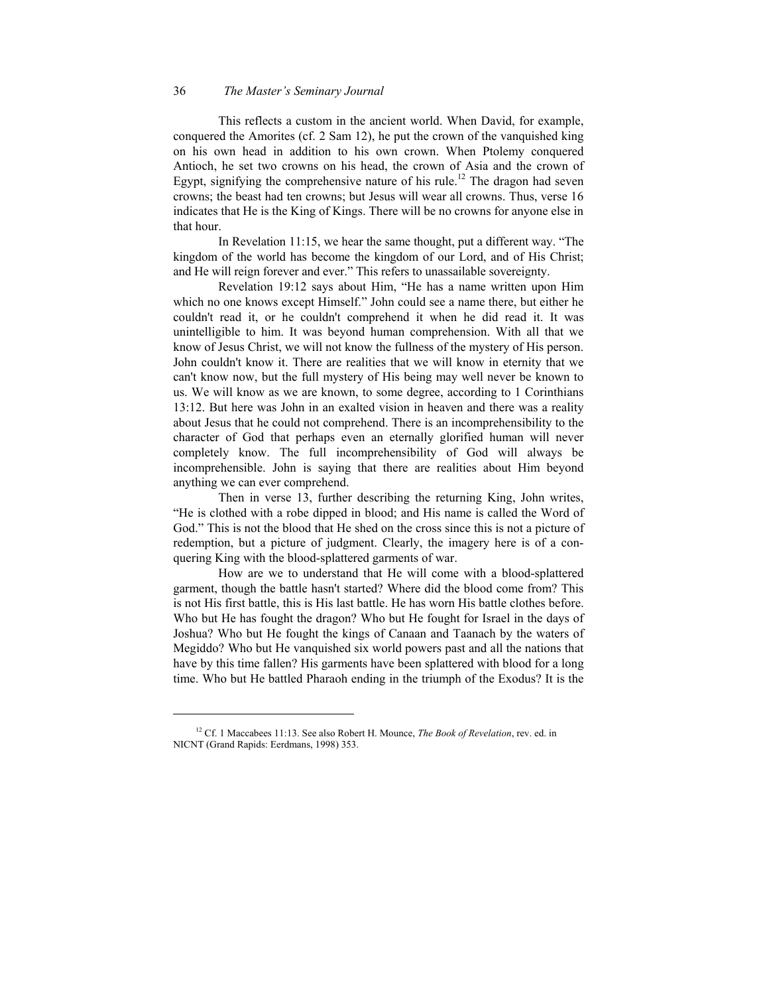# 36 *The Master's Seminary Journal*

This reflects a custom in the ancient world. When David, for example, conquered the Amorites (cf. 2 Sam 12), he put the crown of the vanquished king on his own head in addition to his own crown. When Ptolemy conquered Antioch, he set two crowns on his head, the crown of Asia and the crown of Egypt, signifying the comprehensive nature of his rule.<sup>12</sup> [Th](#page-17-0)e dragon had seven crowns; the beast had ten crowns; but Jesus will wear all crowns. Thus, verse 16 indicates that He is the King of Kings. There will be no crowns for anyone else in that hour.

In Revelation 11:15, we hear the same thought, put a different way. "The kingdom of the world has become the kingdom of our Lord, and of His Christ; and He will reign forever and ever." This refers to unassailable sovereignty.

Revelation 19:12 says about Him, "He has a name written upon Him which no one knows except Himself." John could see a name there, but either he couldn't read it, or he couldn't comprehend it when he did read it. It was unintelligible to him. It was beyond human comprehension. With all that we know of Jesus Christ, we will not know the fullness of the mystery of His person. John couldn't know it. There are realities that we will know in eternity that we can't know now, but the full mystery of His being may well never be known to us. We will know as we are known, to some degree, according to 1 Corinthians 13:12. But here was John in an exalted vision in heaven and there was a reality about Jesus that he could not comprehend. There is an incomprehensibility to the character of God that perhaps even an eternally glorified human will never completely know. The full incomprehensibility of God will always be incomprehensible. John is saying that there are realities about Him beyond anything we can ever comprehend.

Then in verse 13, further describing the returning King, John writes, "He is clothed with a robe dipped in blood; and His name is called the Word of God." This is not the blood that He shed on the cross since this is not a picture of redemption, but a picture of judgment. Clearly, the imagery here is of a conquering King with the blood-splattered garments of war.

How are we to understand that He will come with a blood-splattered garment, though the battle hasn't started? Where did the blood come from? This is not His first battle, this is His last battle. He has worn His battle clothes before. Who but He has fought the dragon? Who but He fought for Israel in the days of Joshua? Who but He fought the kings of Canaan and Taanach by the waters of Megiddo? Who but He vanquished six world powers past and all the nations that have by this time fallen? His garments have been splattered with blood for a long time. Who but He battled Pharaoh ending in the triumph of the Exodus? It is the

<span id="page-17-0"></span><sup>12</sup> Cf. 1 Maccabees 11:13. See also Robert H. Mounce, *The Book of Revelation*, rev. ed. in NICNT (Grand Rapids: Eerdmans, 1998) 353.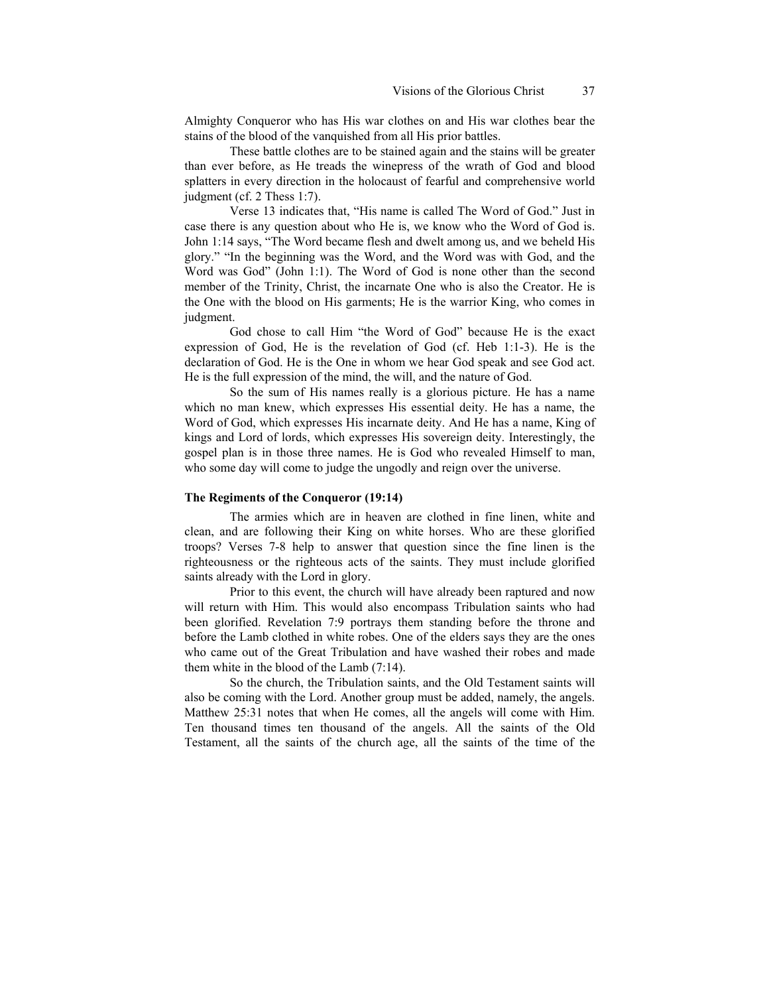Almighty Conqueror who has His war clothes on and His war clothes bear the stains of the blood of the vanquished from all His prior battles.

These battle clothes are to be stained again and the stains will be greater than ever before, as He treads the winepress of the wrath of God and blood splatters in every direction in the holocaust of fearful and comprehensive world judgment (cf. 2 Thess 1:7).

Verse 13 indicates that, "His name is called The Word of God." Just in case there is any question about who He is, we know who the Word of God is. John 1:14 says, "The Word became flesh and dwelt among us, and we beheld His glory." "In the beginning was the Word, and the Word was with God, and the Word was God" (John 1:1). The Word of God is none other than the second member of the Trinity, Christ, the incarnate One who is also the Creator. He is the One with the blood on His garments; He is the warrior King, who comes in judgment.

God chose to call Him "the Word of God" because He is the exact expression of God, He is the revelation of God (cf. Heb 1:1-3). He is the declaration of God. He is the One in whom we hear God speak and see God act. He is the full expression of the mind, the will, and the nature of God.

So the sum of His names really is a glorious picture. He has a name which no man knew, which expresses His essential deity. He has a name, the Word of God, which expresses His incarnate deity. And He has a name, King of kings and Lord of lords, which expresses His sovereign deity. Interestingly, the gospel plan is in those three names. He is God who revealed Himself to man, who some day will come to judge the ungodly and reign over the universe.

# **The Regiments of the Conqueror (19:14)**

The armies which are in heaven are clothed in fine linen, white and clean, and are following their King on white horses. Who are these glorified troops? Verses 7-8 help to answer that question since the fine linen is the righteousness or the righteous acts of the saints. They must include glorified saints already with the Lord in glory.

Prior to this event, the church will have already been raptured and now will return with Him. This would also encompass Tribulation saints who had been glorified. Revelation 7:9 portrays them standing before the throne and before the Lamb clothed in white robes. One of the elders says they are the ones who came out of the Great Tribulation and have washed their robes and made them white in the blood of the Lamb (7:14).

So the church, the Tribulation saints, and the Old Testament saints will also be coming with the Lord. Another group must be added, namely, the angels. Matthew 25:31 notes that when He comes, all the angels will come with Him. Ten thousand times ten thousand of the angels. All the saints of the Old Testament, all the saints of the church age, all the saints of the time of the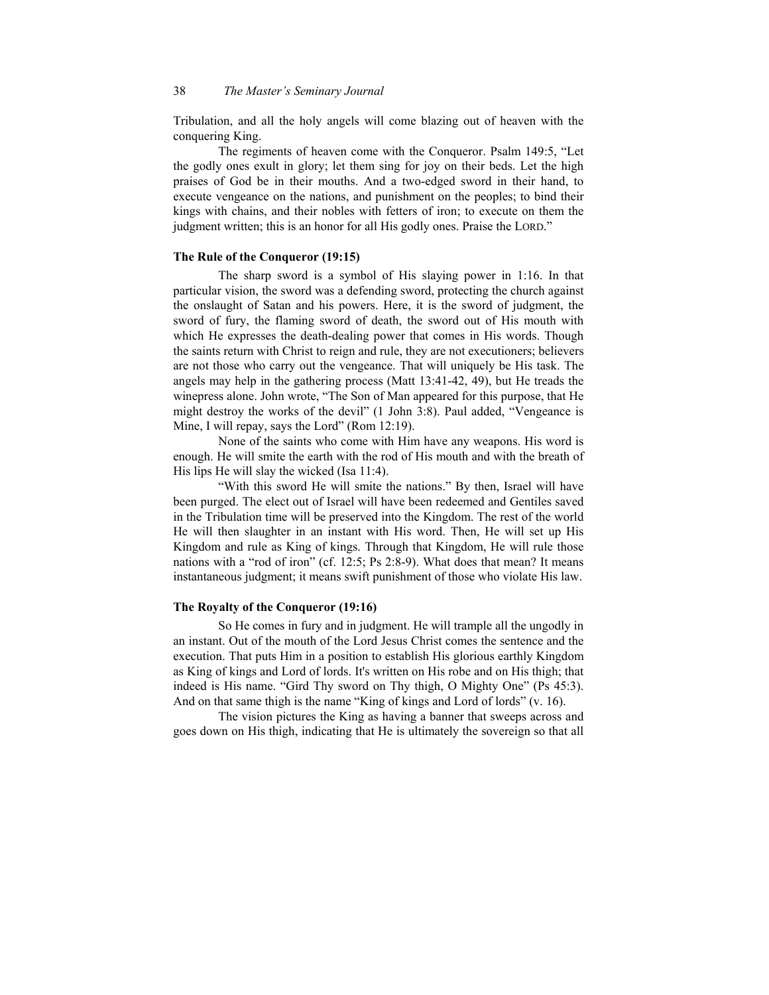Tribulation, and all the holy angels will come blazing out of heaven with the conquering King.

The regiments of heaven come with the Conqueror. Psalm 149:5, "Let the godly ones exult in glory; let them sing for joy on their beds. Let the high praises of God be in their mouths. And a two-edged sword in their hand, to execute vengeance on the nations, and punishment on the peoples; to bind their kings with chains, and their nobles with fetters of iron; to execute on them the judgment written; this is an honor for all His godly ones. Praise the LORD."

#### **The Rule of the Conqueror (19:15)**

The sharp sword is a symbol of His slaying power in 1:16. In that particular vision, the sword was a defending sword, protecting the church against the onslaught of Satan and his powers. Here, it is the sword of judgment, the sword of fury, the flaming sword of death, the sword out of His mouth with which He expresses the death-dealing power that comes in His words. Though the saints return with Christ to reign and rule, they are not executioners; believers are not those who carry out the vengeance. That will uniquely be His task. The angels may help in the gathering process (Matt 13:41-42, 49), but He treads the winepress alone. John wrote, "The Son of Man appeared for this purpose, that He might destroy the works of the devil" (1 John 3:8). Paul added, "Vengeance is Mine, I will repay, says the Lord" (Rom 12:19).

None of the saints who come with Him have any weapons. His word is enough. He will smite the earth with the rod of His mouth and with the breath of His lips He will slay the wicked (Isa 11:4).

"With this sword He will smite the nations." By then, Israel will have been purged. The elect out of Israel will have been redeemed and Gentiles saved in the Tribulation time will be preserved into the Kingdom. The rest of the world He will then slaughter in an instant with His word. Then, He will set up His Kingdom and rule as King of kings. Through that Kingdom, He will rule those nations with a "rod of iron" (cf. 12:5; Ps 2:8-9). What does that mean? It means instantaneous judgment; it means swift punishment of those who violate His law.

# **The Royalty of the Conqueror (19:16)**

So He comes in fury and in judgment. He will trample all the ungodly in an instant. Out of the mouth of the Lord Jesus Christ comes the sentence and the execution. That puts Him in a position to establish His glorious earthly Kingdom as King of kings and Lord of lords. It's written on His robe and on His thigh; that indeed is His name. "Gird Thy sword on Thy thigh, O Mighty One" (Ps 45:3). And on that same thigh is the name "King of kings and Lord of lords" (v. 16).

The vision pictures the King as having a banner that sweeps across and goes down on His thigh, indicating that He is ultimately the sovereign so that all